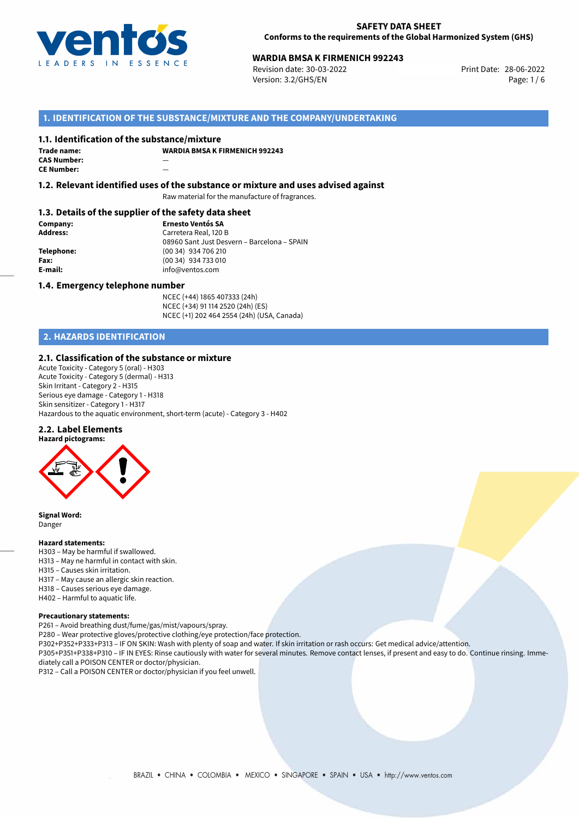

# **WARDIA BMSA K FIRMENICH 992243**<br>
Revision date: 30-03-2022<br>
Print Date: 28-06-2022

Revision date: 30-03-2022 Version: 3.2/GHS/EN Page: 1/6

## **1. IDENTIFICATION OF THE SUBSTANCE/MIXTURE AND THE COMPANY/UNDERTAKING**

#### **1.1. Identification of the substance/mixture**

| Trade name:        | w |
|--------------------|---|
| <b>CAS Number:</b> |   |
| <b>CE Number:</b>  |   |

**WARDIA BMSA K FIRMENICH 992243**

#### **1.2. Relevant identified uses of the substance or mixture and uses advised against**

Raw material for the manufacture of fragrances.

#### **1.3. Details of the supplier of the safety data sheet**

**Company: Ernesto Ventós SA Address:** Carretera Real, 120 B 08960 Sant Just Desvern – Barcelona – SPAIN **Telephone:** (00 34) 934 706 210 **Fax:** (00 34) 934 733 010<br> **E-mail: E-mail:** info@ventos.com **E-mail:** info@ventos.com

#### **1.4. Emergency telephone number**

NCEC (+44) 1865 407333 (24h) NCEC (+34) 91 114 2520 (24h) (ES) NCEC (+1) 202 464 2554 (24h) (USA, Canada)

# **2. HAZARDS IDENTIFICATION**

## **2.1. Classification of the substance or mixture**

Acute Toxicity - Category 5 (oral) - H303 Acute Toxicity - Category 5 (dermal) - H313 Skin Irritant - Category 2 - H315 Serious eye damage - Category 1 - H318 Skin sensitizer - Category 1 - H317 Hazardous to the aquatic environment, short-term (acute) - Category 3 - H402

#### **2.2. Label Elements**



**Signal Word:** Danger

#### **Hazard statements:**

- H303 May be harmful if swallowed.
- H313 May ne harmful in contact with skin.
- H315 Causes skin irritation.
- H317 May cause an allergic skin reaction.
- H318 Causes serious eye damage.
- H402 Harmful to aquatic life.

#### **Precautionary statements:**

P261 – Avoid breathing dust/fume/gas/mist/vapours/spray.

- P280 Wear protective gloves/protective clothing/eye protection/face protection.
- P302+P352+P333+P313 IF ON SKIN: Wash with plenty of soap and water. If skin irritation or rash occurs: Get medical advice/attention.

P305+P351+P338+P310 – IF IN EYES: Rinse cautiously with water for several minutes. Remove contact lenses, if present and easy to do. Continue rinsing. Immediately call a POISON CENTER or doctor/physician.

P312 – Call a POISON CENTER or doctor/physician if you feel unwell.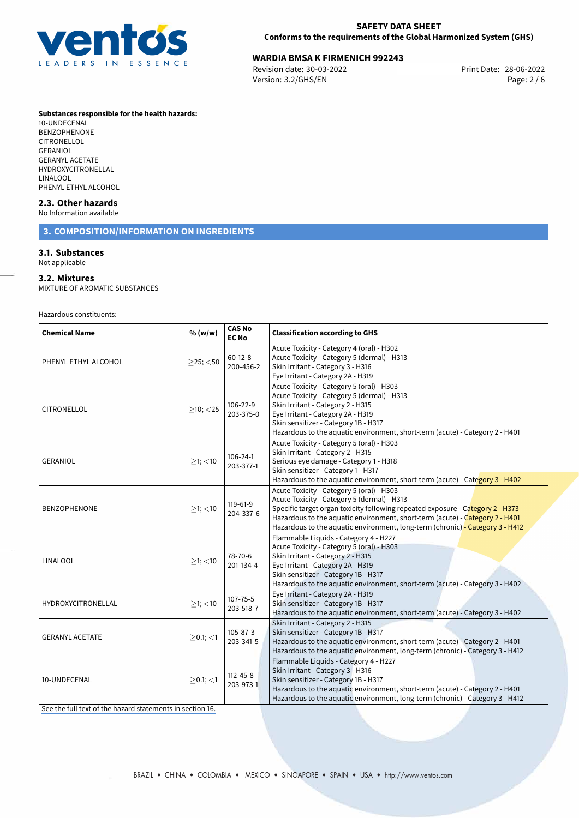

# **WARDIA BMSA K FIRMENICH 992243**<br>
Revision date: 30-03-2022<br>
Print Date: 28-06-2022

Revision date: 30-03-2022 Version: 3.2/GHS/EN Page: 2 / 6

#### **Substances responsible for the health hazards:**

10-UNDECENAL BENZOPHENONE CITRONELLOL GERANIOL GERANYL ACETATE HYDROXYCITRONELLAL LINALOOL PHENYL ETHYL ALCOHOL

## **2.3. Other hazards**

## No Information available

## **3. COMPOSITION/INFORMATION ON INGREDIENTS**

## **3.1. Substances**

Not applicable

#### **3.2. Mixtures**

MIXTURE OF AROMATIC SUBSTANCES

Hazardous constituents:

| <b>Chemical Name</b>   | % (w/w)           | <b>CAS No</b><br><b>EC No</b> | <b>Classification according to GHS</b>                                                                                                                                                                                                                                                                                                      |  |  |
|------------------------|-------------------|-------------------------------|---------------------------------------------------------------------------------------------------------------------------------------------------------------------------------------------------------------------------------------------------------------------------------------------------------------------------------------------|--|--|
| PHENYL ETHYL ALCOHOL   | $\geq$ 25; $<$ 50 | $60-12-8$<br>200-456-2        | Acute Toxicity - Category 4 (oral) - H302<br>Acute Toxicity - Category 5 (dermal) - H313<br>Skin Irritant - Category 3 - H316<br>Eye Irritant - Category 2A - H319                                                                                                                                                                          |  |  |
| CITRONELLOL            | $\geq$ 10; <25    | 106-22-9<br>203-375-0         | Acute Toxicity - Category 5 (oral) - H303<br>Acute Toxicity - Category 5 (dermal) - H313<br>Skin Irritant - Category 2 - H315<br>Eye Irritant - Category 2A - H319<br>Skin sensitizer - Category 1B - H317<br>Hazardous to the aquatic environment, short-term (acute) - Category 2 - H401                                                  |  |  |
| <b>GERANIOL</b>        | $>1$ ; $<$ 10     | 106-24-1<br>203-377-1         | Acute Toxicity - Category 5 (oral) - H303<br>Skin Irritant - Category 2 - H315<br>Serious eye damage - Category 1 - H318<br>Skin sensitizer - Category 1 - H317<br>Hazardous to the aquatic environment, short-term (acute) - Category 3 - H402                                                                                             |  |  |
| <b>BENZOPHENONE</b>    | $>1$ ; <10        | 119-61-9<br>204-337-6         | Acute Toxicity - Category 5 (oral) - H303<br>Acute Toxicity - Category 5 (dermal) - H313<br>Specific target organ toxicity following repeated exposure - Category 2 - H373<br>Hazardous to the aquatic environment, short-term (acute) - Category 2 - H401<br>Hazardous to the aquatic environment, long-term (chronic) - Category 3 - H412 |  |  |
| <b>LINALOOL</b>        | $>1$ ; $<$ 10     | 78-70-6<br>201-134-4          | Flammable Liquids - Category 4 - H227<br>Acute Toxicity - Category 5 (oral) - H303<br>Skin Irritant - Category 2 - H315<br>Eye Irritant - Category 2A - H319<br>Skin sensitizer - Category 1B - H317<br>Hazardous to the aquatic environment, short-term (acute) - Category 3 - H402                                                        |  |  |
| HYDROXYCITRONELLAL     | $>1$ ; $<$ 10     | $107 - 75 - 5$<br>203-518-7   | Eye Irritant - Category 2A - H319<br>Skin sensitizer - Category 1B - H317<br>Hazardous to the aquatic environment, short-term (acute) - Category 3 - H402                                                                                                                                                                                   |  |  |
| <b>GERANYL ACETATE</b> | $>0.1$ ; <1       | 105-87-3<br>203-341-5         | Skin Irritant - Category 2 - H315<br>Skin sensitizer - Category 1B - H317<br>Hazardous to the aquatic environment, short-term (acute) - Category 2 - H401<br>Hazardous to the aquatic environment, long-term (chronic) - Category 3 - H412                                                                                                  |  |  |
| 10-UNDECENAL           | $>0.1$ ; <1       | $112 - 45 - 8$<br>203-973-1   | Flammable Liquids - Category 4 - H227<br>Skin Irritant - Category 3 - H316<br>Skin sensitizer - Category 1B - H317<br>Hazardous to the aquatic environment, short-term (acute) - Category 2 - H401<br>Hazardous to the aquatic environment, long-term (chronic) - Category 3 - H412                                                         |  |  |

[See the full text of the hazard statements in section 16.](#page-5-0)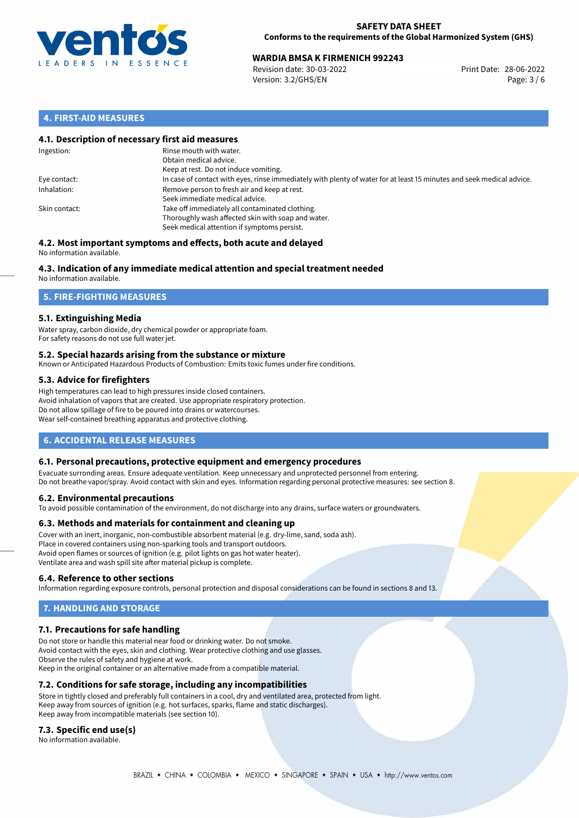

# **WARDIA BMSA K FIRMENICH 992243**<br>
Revision date: 30-03-2022<br>
Print Date: 28-06-2022

Revision date: 30-03-2022 Version: 3.2/GHS/EN Page: 3 / 6

## **4. FIRST-AID MEASURES**

## **4.1. Description of necessary first aid measures**

| Ingestion:    | Rinse mouth with water.<br>Obtain medical advice.<br>Keep at rest. Do not induce vomiting.                                                           |
|---------------|------------------------------------------------------------------------------------------------------------------------------------------------------|
| Eye contact:  | In case of contact with eyes, rinse immediately with plenty of water for at least 15 minutes and seek medical advice.                                |
| Inhalation:   | Remove person to fresh air and keep at rest.<br>Seek immediate medical advice.                                                                       |
| Skin contact: | Take off immediately all contaminated clothing.<br>Thoroughly wash affected skin with soap and water.<br>Seek medical attention if symptoms persist. |

#### **4.2. Most important symptoms and effects, both acute and delayed** No information available.

# **4.3. Indication of any immediate medical attention and special treatment needed**

No information available.

## **5. FIRE-FIGHTING MEASURES**

## **5.1. Extinguishing Media**

Water spray, carbon dioxide, dry chemical powder or appropriate foam. For safety reasons do not use full water jet.

### **5.2. Special hazards arising from the substance or mixture**

Known or Anticipated Hazardous Products of Combustion: Emits toxic fumes under fire conditions.

## **5.3. Advice for firefighters**

High temperatures can lead to high pressures inside closed containers. Avoid inhalation of vapors that are created. Use appropriate respiratory protection. Do not allow spillage of fire to be poured into drains or watercourses. Wear self-contained breathing apparatus and protective clothing.

## **6. ACCIDENTAL RELEASE MEASURES**

### **6.1. Personal precautions, protective equipment and emergency procedures**

Evacuate surronding areas. Ensure adequate ventilation. Keep unnecessary and unprotected personnel from entering. Do not breathe vapor/spray. Avoid contact with skin and eyes. Information regarding personal protective measures: see section 8.

### **6.2. Environmental precautions**

To avoid possible contamination of the environment, do not discharge into any drains, surface waters or groundwaters.

### **6.3. Methods and materials for containment and cleaning up**

Cover with an inert, inorganic, non-combustible absorbent material (e.g. dry-lime, sand, soda ash). Place in covered containers using non-sparking tools and transport outdoors. Avoid open flames or sources of ignition (e.g. pilot lights on gas hot water heater). Ventilate area and wash spill site after material pickup is complete.

### **6.4. Reference to other sections**

Information regarding exposure controls, personal protection and disposal considerations can be found in sections 8 and 13.

# **7. HANDLING AND STORAGE**

### **7.1. Precautions for safe handling**

Do not store or handle this material near food or drinking water. Do not smoke. Avoid contact with the eyes, skin and clothing. Wear protective clothing and use glasses. Observe the rules of safety and hygiene at work. Keep in the original container or an alternative made from a compatible material.

## **7.2. Conditions for safe storage, including any incompatibilities**

Store in tightly closed and preferably full containers in a cool, dry and ventilated area, protected from light. Keep away from sources of ignition (e.g. hot surfaces, sparks, flame and static discharges). Keep away from incompatible materials (see section 10).

### **7.3. Specific end use(s)**

No information available.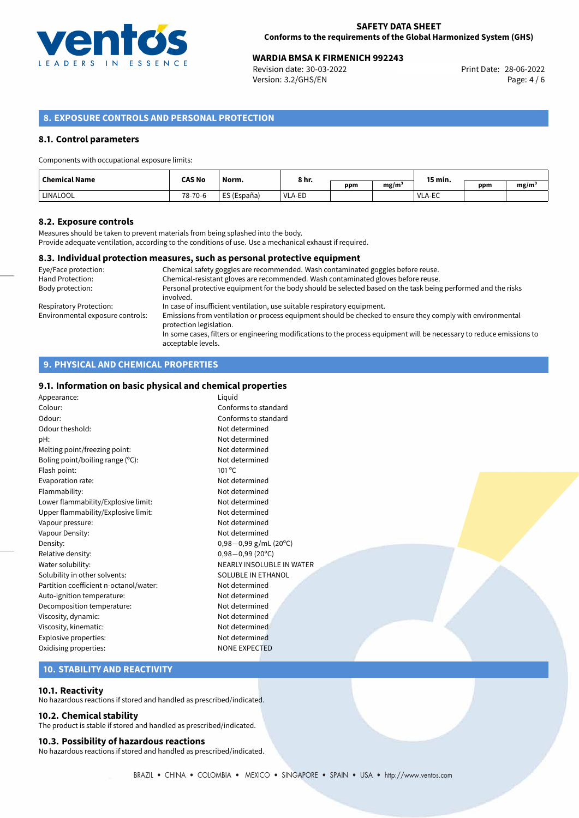

# **WARDIA BMSA K FIRMENICH 992243**<br>28-06-2022 Print Date: 28-06-2022 Print Date: 28-06-2022

Revision date: 30-03-2022 Version: 3.2/GHS/EN Page: 4 / 6

## **8. EXPOSURE CONTROLS AND PERSONAL PROTECTION**

### **8.1. Control parameters**

#### Components with occupational exposure limits:

| <b>Chemical Name</b> | <b>CAS No</b> | Norm.<br>the contract of the contract of the | 8 hr.  |     |                   | 15 min. |     |                   |
|----------------------|---------------|----------------------------------------------|--------|-----|-------------------|---------|-----|-------------------|
|                      |               |                                              | - ---  | ppm | mg/m <sup>3</sup> |         | ppm | mg/m <sup>3</sup> |
| LINALOOL             | 78-70-6       | ES (España)                                  | VLA-ED |     |                   | VLA-EC  |     |                   |

#### **8.2. Exposure controls**

Measures should be taken to prevent materials from being splashed into the body. Provide adequate ventilation, according to the conditions of use. Use a mechanical exhaust if required.

#### **8.3. Individual protection measures, such as personal protective equipment**

| Eye/Face protection:             | Chemical safety goggles are recommended. Wash contaminated goggles before reuse.                                                            |
|----------------------------------|---------------------------------------------------------------------------------------------------------------------------------------------|
| <b>Hand Protection:</b>          | Chemical-resistant gloves are recommended. Wash contaminated gloves before reuse.                                                           |
| Body protection:                 | Personal protective equipment for the body should be selected based on the task being performed and the risks<br>involved.                  |
| Respiratory Protection:          | In case of insufficient ventilation, use suitable respiratory equipment.                                                                    |
| Environmental exposure controls: | Emissions from ventilation or process equipment should be checked to ensure they comply with environmental<br>protection legislation.       |
|                                  | In some cases, filters or engineering modifications to the process equipment will be necessary to reduce emissions to<br>acceptable levels. |

## **9. PHYSICAL AND CHEMICAL PROPERTIES**

#### **9.1. Information on basic physical and chemical properties**

| Appearance:                            | Liquid                     |
|----------------------------------------|----------------------------|
| Colour:                                | Conforms to standard       |
| Odour:                                 | Conforms to standard       |
| Odour theshold:                        | Not determined             |
| pH:                                    | Not determined             |
| Melting point/freezing point:          | Not determined             |
| Boling point/boiling range (°C):       | Not determined             |
| Flash point:                           | $101^{\circ}$ C            |
| Evaporation rate:                      | Not determined             |
| Flammability:                          | Not determined             |
| Lower flammability/Explosive limit:    | Not determined             |
| Upper flammability/Explosive limit:    | Not determined             |
| Vapour pressure:                       | Not determined             |
| Vapour Density:                        | Not determined             |
| Density:                               | $0,98-0,99$ g/mL (20°C)    |
| Relative density:                      | $0,98 - 0,99(20^{\circ}C)$ |
| Water solubility:                      | NEARLY INSOLUBLE IN WATER  |
| Solubility in other solvents:          | SOLUBLE IN ETHANOL         |
| Partition coefficient n-octanol/water: | Not determined             |
| Auto-ignition temperature:             | Not determined             |
| Decomposition temperature:             | Not determined             |
| Viscosity, dynamic:                    | Not determined             |
| Viscosity, kinematic:                  | Not determined             |
| Explosive properties:                  | Not determined             |
| Oxidising properties:                  | <b>NONE EXPECTED</b>       |
|                                        |                            |

## **10. STABILITY AND REACTIVITY**

#### **10.1. Reactivity**

No hazardous reactions if stored and handled as prescribed/indicated.

## **10.2. Chemical stability**

The product is stable if stored and handled as prescribed/indicated.

#### **10.3. Possibility of hazardous reactions**

No hazardous reactions if stored and handled as prescribed/indicated.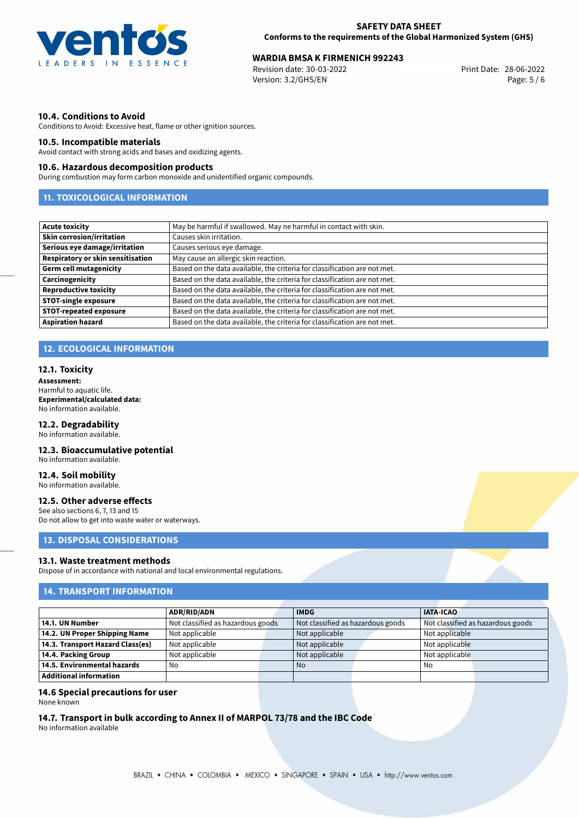

# **WARDIA BMSA K FIRMENICH 992243**<br>28-06-2022 Print Date: 28-06-2022 Print Date: 28-06-2022

Revision date: 30-03-2022 Version: 3.2/GHS/EN Page: 5 / 6

#### **10.4. Conditions to Avoid**

Conditions to Avoid: Excessive heat, flame or other ignition sources.

#### **10.5. Incompatible materials**

Avoid contact with strong acids and bases and oxidizing agents.

#### **10.6. Hazardous decomposition products**

During combustion may form carbon monoxide and unidentified organic compounds.

# **11. TOXICOLOGICAL INFORMATION**

| <b>Acute toxicity</b>             | May be harmful if swallowed. May ne harmful in contact with skin.         |
|-----------------------------------|---------------------------------------------------------------------------|
| <b>Skin corrosion/irritation</b>  | Causes skin irritation.                                                   |
| Serious eye damage/irritation     | Causes serious eye damage.                                                |
| Respiratory or skin sensitisation | May cause an allergic skin reaction.                                      |
| <b>Germ cell mutagenicity</b>     | Based on the data available, the criteria for classification are not met. |
| Carcinogenicity                   | Based on the data available, the criteria for classification are not met. |
| <b>Reproductive toxicity</b>      | Based on the data available, the criteria for classification are not met. |
| <b>STOT-single exposure</b>       | Based on the data available, the criteria for classification are not met. |
| <b>STOT-repeated exposure</b>     | Based on the data available, the criteria for classification are not met. |
| <b>Aspiration hazard</b>          | Based on the data available, the criteria for classification are not met. |

## **12. ECOLOGICAL INFORMATION**

#### **12.1. Toxicity**

**Assessment:** Harmful to aquatic life. **Experimental/calculated data:** No information available.

#### **12.2. Degradability**

No information available.

## **12.3. Bioaccumulative potential**

No information available.

# **12.4. Soil mobility**

No information available.

#### **12.5. Other adverse effects**

See also sections 6, 7, 13 and 15 Do not allow to get into waste water or waterways.

## **13. DISPOSAL CONSIDERATIONS**

#### **13.1. Waste treatment methods**

Dispose of in accordance with national and local environmental regulations.

## **14. TRANSPORT INFORMATION**

|                                  | ADR/RID/ADN                       |  | <b>IMDG</b>                       |  | <b>IATA-ICAO</b>                  |  |
|----------------------------------|-----------------------------------|--|-----------------------------------|--|-----------------------------------|--|
| 14.1. UN Number                  | Not classified as hazardous goods |  | Not classified as hazardous goods |  | Not classified as hazardous goods |  |
| 14.2. UN Proper Shipping Name    | Not applicable                    |  | Not applicable                    |  | Not applicable                    |  |
| 14.3. Transport Hazard Class(es) | Not applicable                    |  | Not applicable                    |  | Not applicable                    |  |
| 14.4. Packing Group              | Not applicable                    |  | Not applicable                    |  | Not applicable                    |  |
| 14.5. Environmental hazards      | No                                |  | <b>No</b>                         |  | No                                |  |
| Additional information           |                                   |  |                                   |  |                                   |  |

#### **14.6 Special precautions for user**

None known

## **14.7. Transport in bulk according to Annex II of MARPOL 73/78 and the IBC Code**

No information available